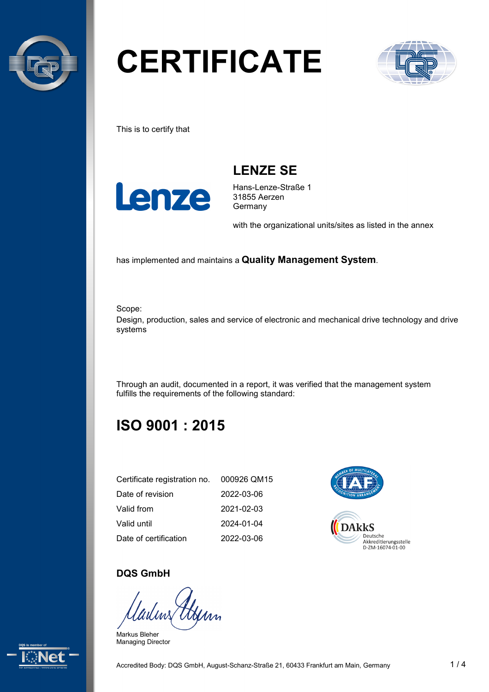

# **CERTIFICATE**



This is to certify that



**LENZE SE**

Hans-Lenze-Straße 1 31855 Aerzen Germany

with the organizational units/sites as listed in the annex

has implemented and maintains a **Quality Management System**.

Scope:

Design, production, sales and service of electronic and mechanical drive technology and drive systems

Through an audit, documented in a report, it was verified that the management system fulfills the requirements of the following standard:

# **ISO 9001 : 2015**

| Certificate registration no. | 000926 QM15 |
|------------------------------|-------------|
| Date of revision             | 2022-03-06  |
| Valid from                   | 2021-02-03  |
| Valid until                  | 2024-01-04  |
| Date of certification        | 2022-03-06  |



#### **DQS GmbH**

tym

Markus Bleher Managing Director

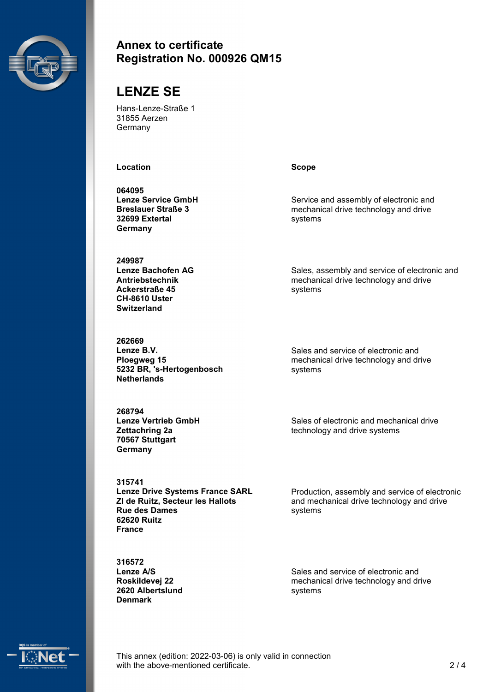

#### **Annex to certificate Registration No. 000926 QM15**

# **LENZE SE**

Hans-Lenze-Straße 1 31855 Aerzen **Germany** 

**Location Scope**

**064095 Lenze Service GmbH Breslauer Straße 3 32699 Extertal Germany**

**249987 Lenze Bachofen AG Antriebstechnik Ackerstraße 45 CH-8610 Uster Switzerland**

**262669 Lenze B.V. Ploegweg 15 5232 BR, 's-Hertogenbosch Netherlands**

**268794 Lenze Vertrieb GmbH Zettachring 2a 70567 Stuttgart Germany**

**315741 Lenze Drive Systems France SARL ZI de Ruitz, Secteur les Hallots Rue des Dames 62620 Ruitz France**

**316572 Lenze A/S Roskildevej 22 2620 Albertslund Denmark**

Service and assembly of electronic and mechanical drive technology and drive systems

Sales, assembly and service of electronic and mechanical drive technology and drive systems

Sales and service of electronic and mechanical drive technology and drive systems

Sales of electronic and mechanical drive technology and drive systems

Production, assembly and service of electronic and mechanical drive technology and drive systems

Sales and service of electronic and mechanical drive technology and drive systems



This annex (edition: 2022-03-06) is only valid in connection with the above-mentioned certificate. 2/4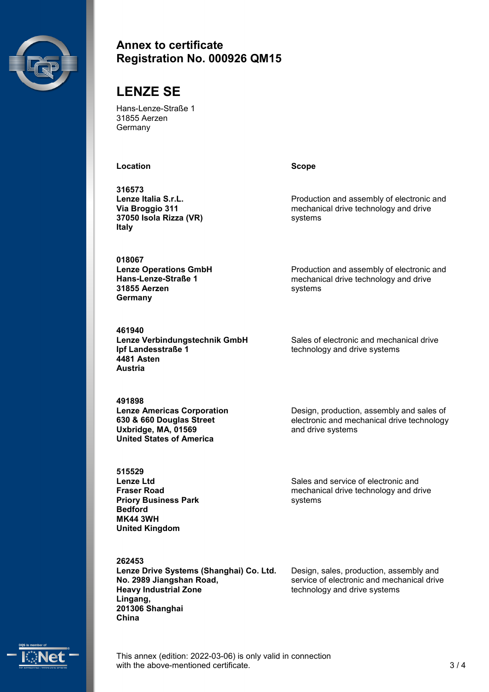

#### **Annex to certificate Registration No. 000926 QM15**

# **LENZE SE**

Hans-Lenze-Straße 1 31855 Aerzen **Germany** 

**Location Scope** 

**316573 Lenze Italia S.r.L. Via Broggio 311 37050 Isola Rizza (VR) Italy**

**018067 Lenze Operations GmbH Hans-Lenze-Straße 1 31855 Aerzen Germany**

**461940 Lenze Verbindungstechnik GmbH Ipf Landesstraße 1 4481 Asten Austria**

**491898 Lenze Americas Corporation 630 & 660 Douglas Street Uxbridge, MA, 01569 United States of America**

**515529 Lenze Ltd Fraser Road Priory Business Park Bedford MK44 3WH United Kingdom**

**262453**

**Lenze Drive Systems (Shanghai) Co. Ltd. No. 2989 Jiangshan Road, Heavy Industrial Zone Lingang, 201306 Shanghai China**

Production and assembly of electronic and mechanical drive technology and drive systems

Production and assembly of electronic and mechanical drive technology and drive systems

Sales of electronic and mechanical drive technology and drive systems

Design, production, assembly and sales of electronic and mechanical drive technology and drive systems

Sales and service of electronic and mechanical drive technology and drive systems

Design, sales, production, assembly and service of electronic and mechanical drive technology and drive systems



This annex (edition: 2022-03-06) is only valid in connection with the above-mentioned certificate. 3/4